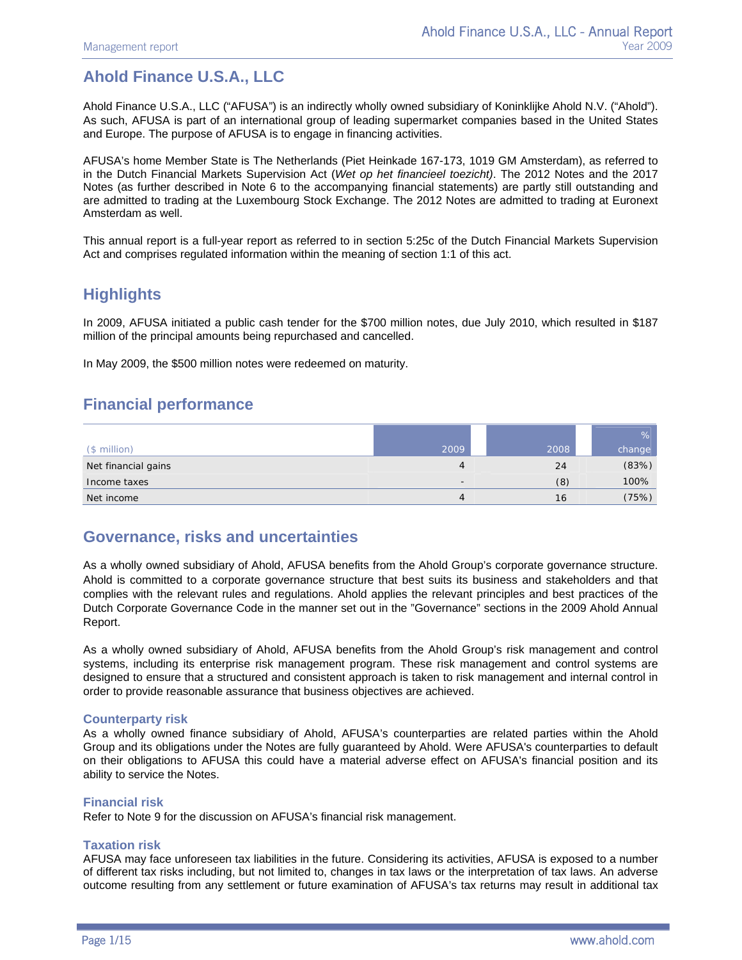## **Ahold Finance U.S.A., LLC**

Ahold Finance U.S.A., LLC ("AFUSA") is an indirectly wholly owned subsidiary of Koninklijke Ahold N.V. ("Ahold"). As such, AFUSA is part of an international group of leading supermarket companies based in the United States and Europe. The purpose of AFUSA is to engage in financing activities.

AFUSA's home Member State is The Netherlands (Piet Heinkade 167-173, 1019 GM Amsterdam), as referred to in the Dutch Financial Markets Supervision Act (*Wet op het financieel toezicht)*. The 2012 Notes and the 2017 Notes (as further described in Note 6 to the accompanying financial statements) are partly still outstanding and are admitted to trading at the Luxembourg Stock Exchange. The 2012 Notes are admitted to trading at Euronext Amsterdam as well.

This annual report is a full-year report as referred to in section 5:25c of the Dutch Financial Markets Supervision Act and comprises regulated information within the meaning of section 1:1 of this act.

## **Highlights**

In 2009, AFUSA initiated a public cash tender for the \$700 million notes, due July 2010, which resulted in \$187 million of the principal amounts being repurchased and cancelled.

In May 2009, the \$500 million notes were redeemed on maturity.

## **Financial performance**

|                     |        |      | $\%$   |
|---------------------|--------|------|--------|
| $($$ million $)$    | 2009   | 2008 | change |
| Net financial gains |        | 24   | (83%)  |
| Income taxes        | $\sim$ | (8)  | 100%   |
| Net income          |        | 16   | (75%)  |

## **Governance, risks and uncertainties**

As a wholly owned subsidiary of Ahold, AFUSA benefits from the Ahold Group's corporate governance structure. Ahold is committed to a corporate governance structure that best suits its business and stakeholders and that complies with the relevant rules and regulations. Ahold applies the relevant principles and best practices of the Dutch Corporate Governance Code in the manner set out in the "Governance" sections in the 2009 Ahold Annual Report.

As a wholly owned subsidiary of Ahold, AFUSA benefits from the Ahold Group's risk management and control systems, including its enterprise risk management program. These risk management and control systems are designed to ensure that a structured and consistent approach is taken to risk management and internal control in order to provide reasonable assurance that business objectives are achieved.

#### **Counterparty risk**

As a wholly owned finance subsidiary of Ahold, AFUSA's counterparties are related parties within the Ahold Group and its obligations under the Notes are fully guaranteed by Ahold. Were AFUSA's counterparties to default on their obligations to AFUSA this could have a material adverse effect on AFUSA's financial position and its ability to service the Notes.

#### **Financial risk**

Refer to Note 9 for the discussion on AFUSA's financial risk management.

#### **Taxation risk**

AFUSA may face unforeseen tax liabilities in the future. Considering its activities, AFUSA is exposed to a number of different tax risks including, but not limited to, changes in tax laws or the interpretation of tax laws. An adverse outcome resulting from any settlement or future examination of AFUSA's tax returns may result in additional tax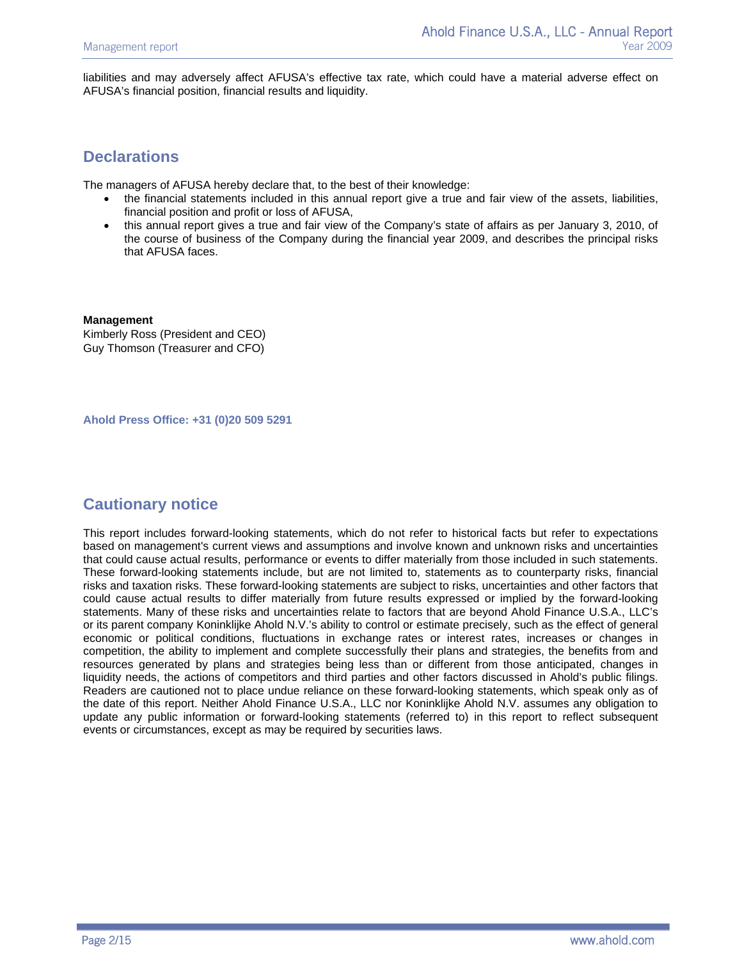liabilities and may adversely affect AFUSA's effective tax rate, which could have a material adverse effect on AFUSA's financial position, financial results and liquidity.

## **Declarations**

The managers of AFUSA hereby declare that, to the best of their knowledge:

- the financial statements included in this annual report give a true and fair view of the assets, liabilities, financial position and profit or loss of AFUSA,
- this annual report gives a true and fair view of the Company's state of affairs as per January 3, 2010, of the course of business of the Company during the financial year 2009, and describes the principal risks that AFUSA faces.

**Management**  Kimberly Ross (President and CEO) Guy Thomson (Treasurer and CFO)

**Ahold Press Office: +31 (0)20 509 5291** 

## **Cautionary notice**

This report includes forward-looking statements, which do not refer to historical facts but refer to expectations based on management's current views and assumptions and involve known and unknown risks and uncertainties that could cause actual results, performance or events to differ materially from those included in such statements. These forward-looking statements include, but are not limited to, statements as to counterparty risks, financial risks and taxation risks. These forward-looking statements are subject to risks, uncertainties and other factors that could cause actual results to differ materially from future results expressed or implied by the forward-looking statements. Many of these risks and uncertainties relate to factors that are beyond Ahold Finance U.S.A., LLC's or its parent company Koninklijke Ahold N.V.'s ability to control or estimate precisely, such as the effect of general economic or political conditions, fluctuations in exchange rates or interest rates, increases or changes in competition, the ability to implement and complete successfully their plans and strategies, the benefits from and resources generated by plans and strategies being less than or different from those anticipated, changes in liquidity needs, the actions of competitors and third parties and other factors discussed in Ahold's public filings. Readers are cautioned not to place undue reliance on these forward-looking statements, which speak only as of the date of this report. Neither Ahold Finance U.S.A., LLC nor Koninklijke Ahold N.V. assumes any obligation to update any public information or forward-looking statements (referred to) in this report to reflect subsequent events or circumstances, except as may be required by securities laws.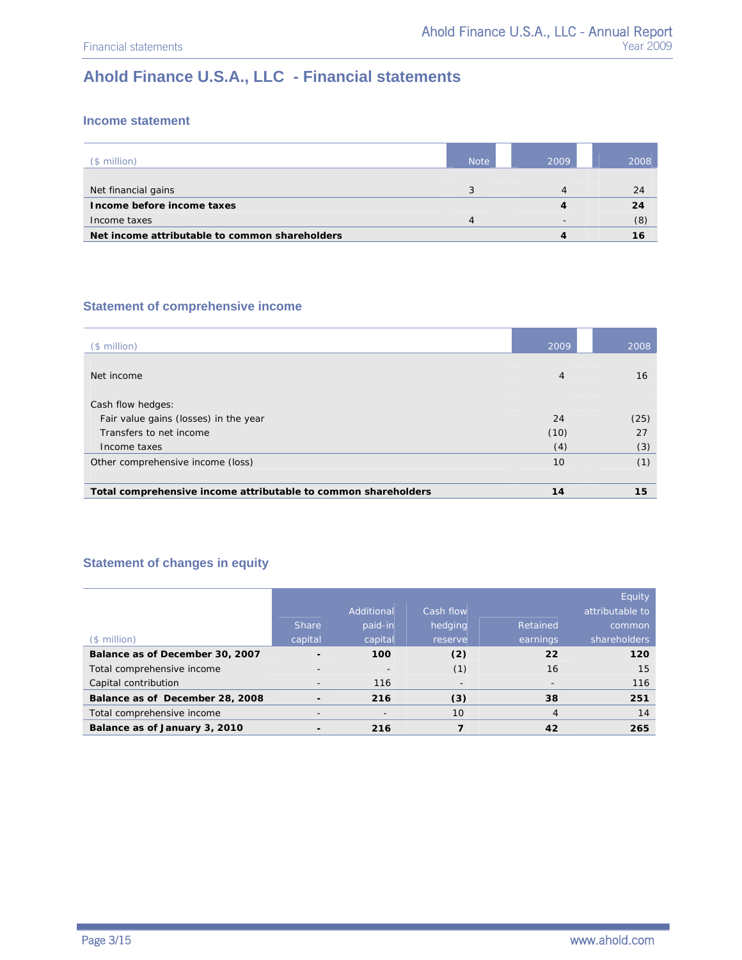# **Ahold Finance U.S.A., LLC - Financial statements**

### **Income statement**

| $($$ million $)$                               | <b>Note</b> | 2009 | 2008 |
|------------------------------------------------|-------------|------|------|
|                                                |             |      |      |
| Net financial gains                            |             |      | 24   |
| Income before income taxes                     |             |      | 24   |
| Income taxes                                   | 4           | -    | (8)  |
| Net income attributable to common shareholders |             |      | 16   |

### **Statement of comprehensive income**

| $($$ million)                                                  | 2009           | 2008 |
|----------------------------------------------------------------|----------------|------|
|                                                                |                |      |
| Net income                                                     | $\overline{4}$ | 16   |
|                                                                |                |      |
| Cash flow hedges:                                              |                |      |
| Fair value gains (losses) in the year                          | 24             | (25) |
| Transfers to net income                                        | (10)           | 27   |
| Income taxes                                                   | (4)            | (3)  |
| Other comprehensive income (loss)                              | 10             | (1)  |
|                                                                |                |      |
| Total comprehensive income attributable to common shareholders | 14             | 15   |

### **Statement of changes in equity**

|                                 |                          |                          |                              |          | Equity          |
|---------------------------------|--------------------------|--------------------------|------------------------------|----------|-----------------|
|                                 |                          | Additional               | Cash flow                    |          | attributable to |
|                                 | Share                    | paid-in                  | hedging                      | Retained | common          |
| $$$ million)                    | capital                  | capital                  | reserve                      | earnings | shareholders    |
| Balance as of December 30, 2007 |                          | 100                      | (2)                          | 22       | 120             |
| Total comprehensive income      |                          |                          | (1)                          | 16       | 15              |
| Capital contribution            | $\overline{\phantom{a}}$ | 116                      | $\qquad \qquad \blacksquare$ |          | 116             |
| Balance as of December 28, 2008 |                          | 216                      | (3)                          | 38       | 251             |
| Total comprehensive income      | $\overline{\phantom{a}}$ | $\overline{\phantom{a}}$ | 10                           | 4        | 14              |
| Balance as of January 3, 2010   |                          | 216                      |                              | 42       | 265             |
|                                 |                          |                          |                              |          |                 |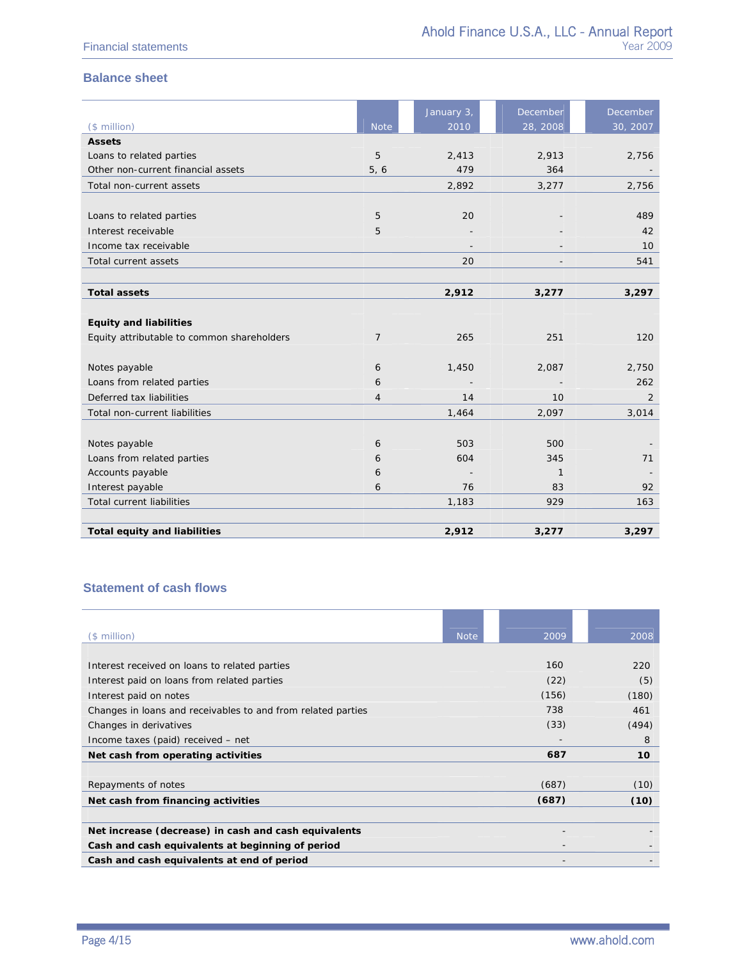#### **Balance sheet**

|                                            |                | January 3, | December | December |
|--------------------------------------------|----------------|------------|----------|----------|
| (\$ million)                               | <b>Note</b>    | 2010       | 28, 2008 | 30, 2007 |
| <b>Assets</b>                              |                |            |          |          |
| Loans to related parties                   | 5              | 2,413      | 2,913    | 2,756    |
| Other non-current financial assets         | 5, 6           | 479        | 364      |          |
| Total non-current assets                   |                | 2,892      | 3,277    | 2,756    |
|                                            |                |            |          |          |
| Loans to related parties                   | 5              | 20         |          | 489      |
| Interest receivable                        | 5              |            |          | 42       |
| Income tax receivable                      |                |            |          | 10       |
| Total current assets                       |                | 20         |          | 541      |
|                                            |                |            |          |          |
| <b>Total assets</b>                        |                | 2,912      | 3,277    | 3,297    |
|                                            |                |            |          |          |
| <b>Equity and liabilities</b>              |                |            |          |          |
| Equity attributable to common shareholders | $\overline{7}$ | 265        | 251      | 120      |
|                                            |                |            |          |          |
| Notes payable                              | 6              | 1,450      | 2,087    | 2,750    |
| Loans from related parties                 | 6              |            |          | 262      |
| Deferred tax liabilities                   | $\overline{4}$ | 14         | 10       | 2        |
| Total non-current liabilities              |                | 1,464      | 2,097    | 3,014    |
|                                            |                |            |          |          |
| Notes payable                              | 6              | 503        | 500      |          |
| Loans from related parties                 | 6              | 604        | 345      | 71       |
| Accounts payable                           | 6              |            | 1        |          |
| Interest payable                           | 6              | 76         | 83       | 92       |
| <b>Total current liabilities</b>           |                | 1,183      | 929      | 163      |
|                                            |                |            |          |          |
| <b>Total equity and liabilities</b>        |                | 2,912      | 3,277    | 3,297    |

## **Statement of cash flows**

| $$$ million)                                                 | <b>Note</b> | 2009                     | 2008  |
|--------------------------------------------------------------|-------------|--------------------------|-------|
|                                                              |             |                          |       |
| Interest received on loans to related parties                |             | 160                      | 220   |
| Interest paid on loans from related parties                  |             | (22)                     | (5)   |
| Interest paid on notes                                       |             | (156)                    | (180) |
| Changes in loans and receivables to and from related parties |             | 738                      | 461   |
| Changes in derivatives                                       |             | (33)                     | (494) |
| Income taxes (paid) received - net                           |             |                          | 8     |
| Net cash from operating activities                           |             | 687                      | 10    |
|                                                              |             |                          |       |
| Repayments of notes                                          |             | (687)                    | (10)  |
| Net cash from financing activities                           |             | (687)                    | (10)  |
|                                                              |             |                          |       |
| Net increase (decrease) in cash and cash equivalents         |             |                          |       |
| Cash and cash equivalents at beginning of period             |             | $\overline{\phantom{a}}$ |       |
| Cash and cash equivalents at end of period                   |             | $\overline{\phantom{a}}$ |       |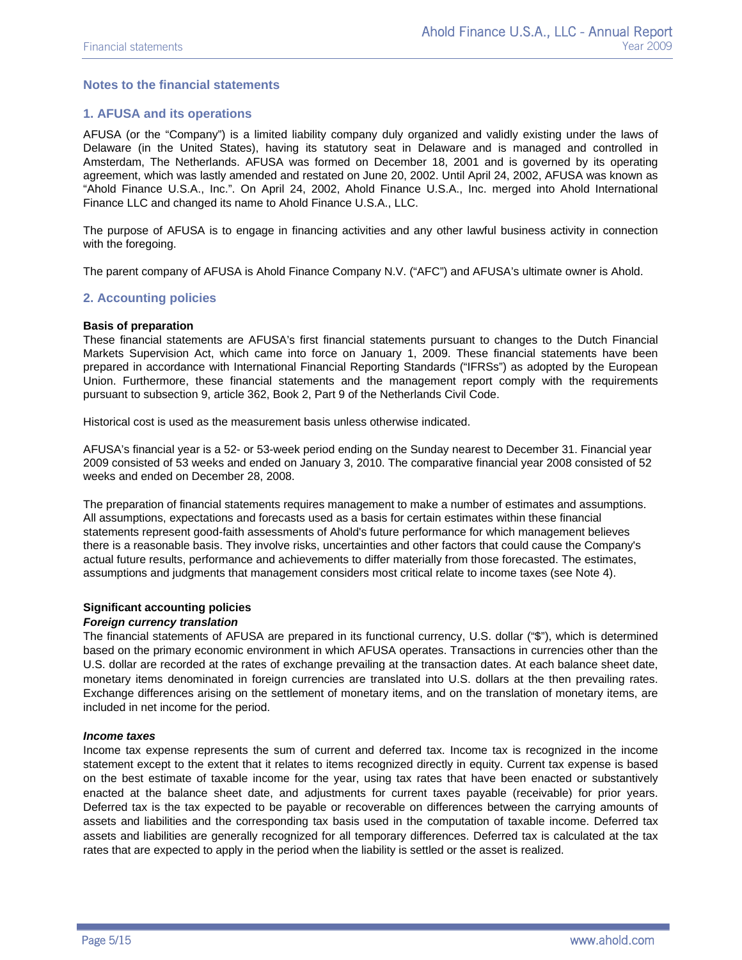#### **Notes to the financial statements**

#### **1. AFUSA and its operations**

AFUSA (or the "Company") is a limited liability company duly organized and validly existing under the laws of Delaware (in the United States), having its statutory seat in Delaware and is managed and controlled in Amsterdam, The Netherlands. AFUSA was formed on December 18, 2001 and is governed by its operating agreement, which was lastly amended and restated on June 20, 2002. Until April 24, 2002, AFUSA was known as "Ahold Finance U.S.A., Inc.". On April 24, 2002, Ahold Finance U.S.A., Inc. merged into Ahold International Finance LLC and changed its name to Ahold Finance U.S.A., LLC.

The purpose of AFUSA is to engage in financing activities and any other lawful business activity in connection with the foregoing.

The parent company of AFUSA is Ahold Finance Company N.V. ("AFC") and AFUSA's ultimate owner is Ahold.

#### **2. Accounting policies**

#### **Basis of preparation**

These financial statements are AFUSA's first financial statements pursuant to changes to the Dutch Financial Markets Supervision Act, which came into force on January 1, 2009. These financial statements have been prepared in accordance with International Financial Reporting Standards ("IFRSs") as adopted by the European Union. Furthermore, these financial statements and the management report comply with the requirements pursuant to subsection 9, article 362, Book 2, Part 9 of the Netherlands Civil Code.

Historical cost is used as the measurement basis unless otherwise indicated.

AFUSA's financial year is a 52- or 53-week period ending on the Sunday nearest to December 31. Financial year 2009 consisted of 53 weeks and ended on January 3, 2010. The comparative financial year 2008 consisted of 52 weeks and ended on December 28, 2008.

The preparation of financial statements requires management to make a number of estimates and assumptions. All assumptions, expectations and forecasts used as a basis for certain estimates within these financial statements represent good-faith assessments of Ahold's future performance for which management believes there is a reasonable basis. They involve risks, uncertainties and other factors that could cause the Company's actual future results, performance and achievements to differ materially from those forecasted. The estimates, assumptions and judgments that management considers most critical relate to income taxes (see Note 4).

#### **Significant accounting policies**

#### *Foreign currency translation*

The financial statements of AFUSA are prepared in its functional currency, U.S. dollar ("\$"), which is determined based on the primary economic environment in which AFUSA operates. Transactions in currencies other than the U.S. dollar are recorded at the rates of exchange prevailing at the transaction dates. At each balance sheet date, monetary items denominated in foreign currencies are translated into U.S. dollars at the then prevailing rates. Exchange differences arising on the settlement of monetary items, and on the translation of monetary items, are included in net income for the period.

#### *Income taxes*

Income tax expense represents the sum of current and deferred tax. Income tax is recognized in the income statement except to the extent that it relates to items recognized directly in equity. Current tax expense is based on the best estimate of taxable income for the year, using tax rates that have been enacted or substantively enacted at the balance sheet date, and adjustments for current taxes payable (receivable) for prior years. Deferred tax is the tax expected to be payable or recoverable on differences between the carrying amounts of assets and liabilities and the corresponding tax basis used in the computation of taxable income. Deferred tax assets and liabilities are generally recognized for all temporary differences. Deferred tax is calculated at the tax rates that are expected to apply in the period when the liability is settled or the asset is realized.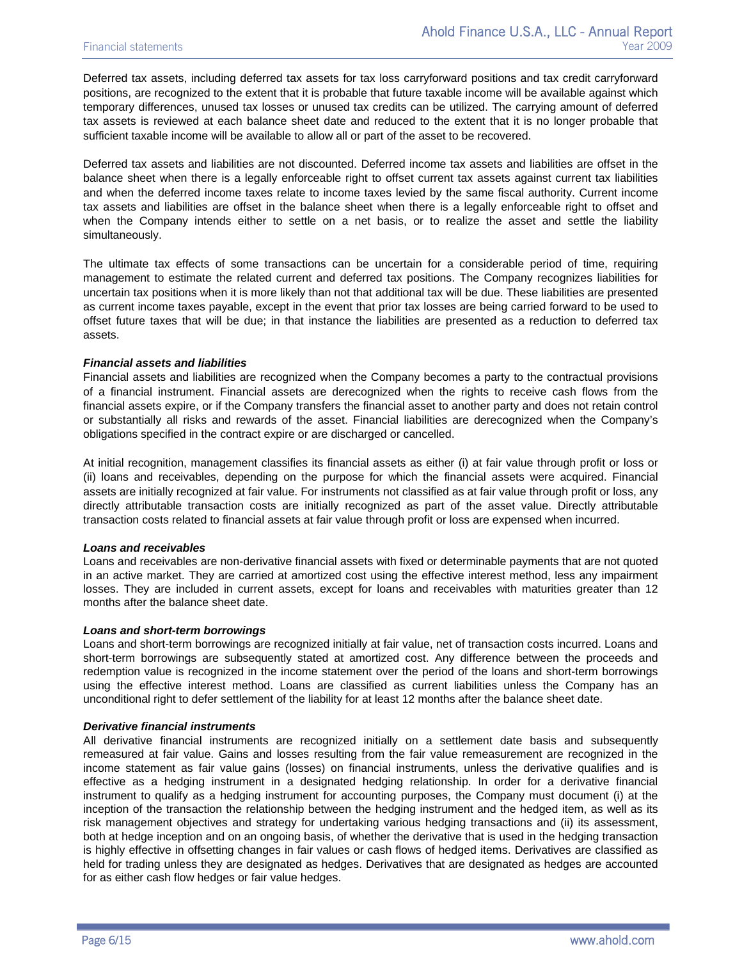Deferred tax assets, including deferred tax assets for tax loss carryforward positions and tax credit carryforward positions, are recognized to the extent that it is probable that future taxable income will be available against which temporary differences, unused tax losses or unused tax credits can be utilized. The carrying amount of deferred tax assets is reviewed at each balance sheet date and reduced to the extent that it is no longer probable that sufficient taxable income will be available to allow all or part of the asset to be recovered.

Deferred tax assets and liabilities are not discounted. Deferred income tax assets and liabilities are offset in the balance sheet when there is a legally enforceable right to offset current tax assets against current tax liabilities and when the deferred income taxes relate to income taxes levied by the same fiscal authority. Current income tax assets and liabilities are offset in the balance sheet when there is a legally enforceable right to offset and when the Company intends either to settle on a net basis, or to realize the asset and settle the liability simultaneously.

The ultimate tax effects of some transactions can be uncertain for a considerable period of time, requiring management to estimate the related current and deferred tax positions. The Company recognizes liabilities for uncertain tax positions when it is more likely than not that additional tax will be due. These liabilities are presented as current income taxes payable, except in the event that prior tax losses are being carried forward to be used to offset future taxes that will be due; in that instance the liabilities are presented as a reduction to deferred tax assets.

#### *Financial assets and liabilities*

Financial assets and liabilities are recognized when the Company becomes a party to the contractual provisions of a financial instrument. Financial assets are derecognized when the rights to receive cash flows from the financial assets expire, or if the Company transfers the financial asset to another party and does not retain control or substantially all risks and rewards of the asset. Financial liabilities are derecognized when the Company's obligations specified in the contract expire or are discharged or cancelled.

At initial recognition, management classifies its financial assets as either (i) at fair value through profit or loss or (ii) loans and receivables, depending on the purpose for which the financial assets were acquired. Financial assets are initially recognized at fair value. For instruments not classified as at fair value through profit or loss, any directly attributable transaction costs are initially recognized as part of the asset value. Directly attributable transaction costs related to financial assets at fair value through profit or loss are expensed when incurred.

#### *Loans and receivables*

Loans and receivables are non-derivative financial assets with fixed or determinable payments that are not quoted in an active market. They are carried at amortized cost using the effective interest method, less any impairment losses. They are included in current assets, except for loans and receivables with maturities greater than 12 months after the balance sheet date.

#### *Loans and short-term borrowings*

Loans and short-term borrowings are recognized initially at fair value, net of transaction costs incurred. Loans and short-term borrowings are subsequently stated at amortized cost. Any difference between the proceeds and redemption value is recognized in the income statement over the period of the loans and short-term borrowings using the effective interest method. Loans are classified as current liabilities unless the Company has an unconditional right to defer settlement of the liability for at least 12 months after the balance sheet date.

#### *Derivative financial instruments*

All derivative financial instruments are recognized initially on a settlement date basis and subsequently remeasured at fair value. Gains and losses resulting from the fair value remeasurement are recognized in the income statement as fair value gains (losses) on financial instruments, unless the derivative qualifies and is effective as a hedging instrument in a designated hedging relationship. In order for a derivative financial instrument to qualify as a hedging instrument for accounting purposes, the Company must document (i) at the inception of the transaction the relationship between the hedging instrument and the hedged item, as well as its risk management objectives and strategy for undertaking various hedging transactions and (ii) its assessment, both at hedge inception and on an ongoing basis, of whether the derivative that is used in the hedging transaction is highly effective in offsetting changes in fair values or cash flows of hedged items. Derivatives are classified as held for trading unless they are designated as hedges. Derivatives that are designated as hedges are accounted for as either cash flow hedges or fair value hedges.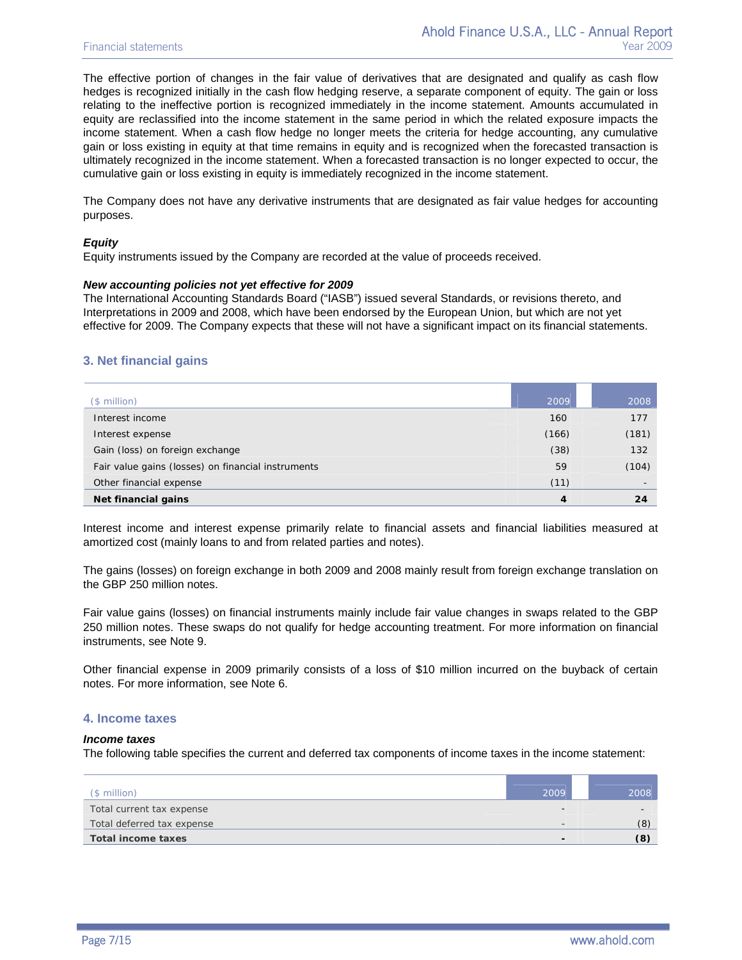The effective portion of changes in the fair value of derivatives that are designated and qualify as cash flow hedges is recognized initially in the cash flow hedging reserve, a separate component of equity. The gain or loss relating to the ineffective portion is recognized immediately in the income statement. Amounts accumulated in equity are reclassified into the income statement in the same period in which the related exposure impacts the income statement. When a cash flow hedge no longer meets the criteria for hedge accounting, any cumulative gain or loss existing in equity at that time remains in equity and is recognized when the forecasted transaction is ultimately recognized in the income statement. When a forecasted transaction is no longer expected to occur, the cumulative gain or loss existing in equity is immediately recognized in the income statement.

The Company does not have any derivative instruments that are designated as fair value hedges for accounting purposes.

#### *Equity*

Equity instruments issued by the Company are recorded at the value of proceeds received.

#### *New accounting policies not yet effective for 2009*

The International Accounting Standards Board ("IASB") issued several Standards, or revisions thereto, and Interpretations in 2009 and 2008, which have been endorsed by the European Union, but which are not yet effective for 2009. The Company expects that these will not have a significant impact on its financial statements.

#### **3. Net financial gains**

| $$$ million)                                       | 2009  | 2008                     |
|----------------------------------------------------|-------|--------------------------|
| Interest income                                    | 160   | 177                      |
| Interest expense                                   | (166) | (181)                    |
| Gain (loss) on foreign exchange                    | (38)  | 132                      |
| Fair value gains (losses) on financial instruments | 59    | (104)                    |
| Other financial expense                            | (11)  | $\overline{\phantom{a}}$ |
| Net financial gains                                | 4     | 24                       |

Interest income and interest expense primarily relate to financial assets and financial liabilities measured at amortized cost (mainly loans to and from related parties and notes).

The gains (losses) on foreign exchange in both 2009 and 2008 mainly result from foreign exchange translation on the GBP 250 million notes.

Fair value gains (losses) on financial instruments mainly include fair value changes in swaps related to the GBP 250 million notes. These swaps do not qualify for hedge accounting treatment. For more information on financial instruments, see Note 9.

Other financial expense in 2009 primarily consists of a loss of \$10 million incurred on the buyback of certain notes. For more information, see Note 6.

#### **4. Income taxes**

#### *Income taxes*

The following table specifies the current and deferred tax components of income taxes in the income statement:

| (\$ million)               | 2009                     | 2008 |
|----------------------------|--------------------------|------|
| Total current tax expense  | $\overline{\phantom{a}}$ |      |
| Total deferred tax expense | $\sim$                   | (8)  |
| Total income taxes         | $\overline{\phantom{0}}$ | (8)  |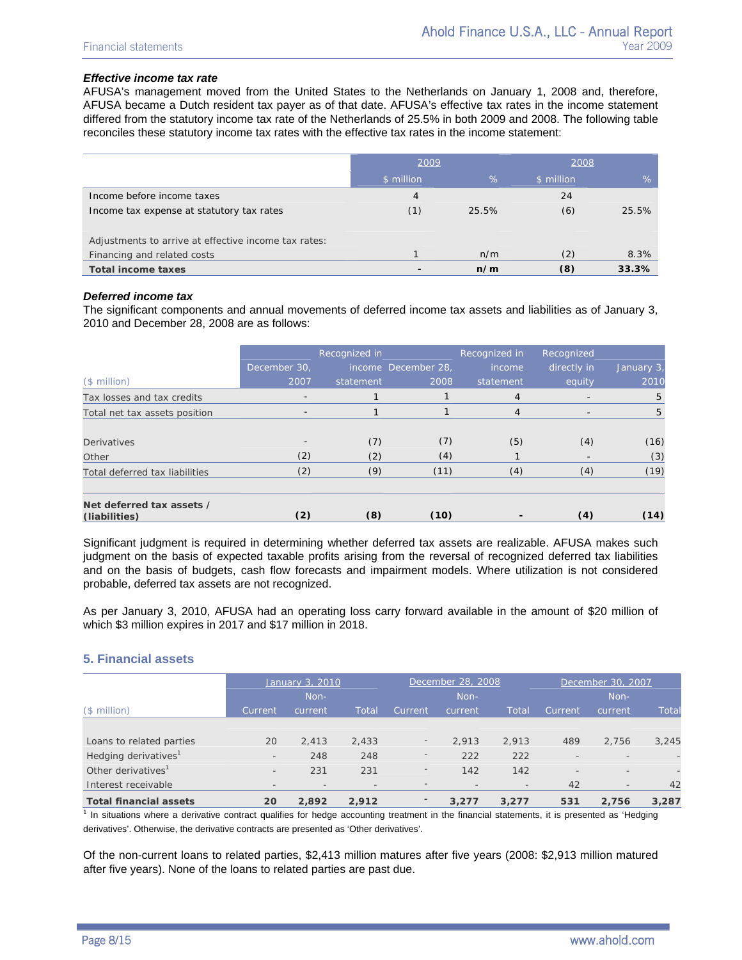#### *Effective income tax rate*

AFUSA's management moved from the United States to the Netherlands on January 1, 2008 and, therefore, AFUSA became a Dutch resident tax payer as of that date. AFUSA's effective tax rates in the income statement differed from the statutory income tax rate of the Netherlands of 25.5% in both 2009 and 2008. The following table reconciles these statutory income tax rates with the effective tax rates in the income statement:

|                                                      | 2009       |       | 2008       |       |  |
|------------------------------------------------------|------------|-------|------------|-------|--|
|                                                      | \$ million | %     | \$ million | $\%$  |  |
| Income before income taxes                           | 4          |       | 24         |       |  |
| Income tax expense at statutory tax rates            | (1)        | 25.5% | (6)        | 25.5% |  |
| Adjustments to arrive at effective income tax rates: |            |       |            |       |  |
| Financing and related costs                          |            | n/m   | (2)        | 8.3%  |  |
| <b>Total income taxes</b>                            |            | n/m   | (8)        | 33.3% |  |

#### *Deferred income tax*

The significant components and annual movements of deferred income tax assets and liabilities as of January 3, 2010 and December 28, 2008 are as follows:

|                                            | Recognized in            |           |                     | Recognized in  | Recognized        |            |
|--------------------------------------------|--------------------------|-----------|---------------------|----------------|-------------------|------------|
|                                            | December 30,             |           | income December 28, | income         | directly in       | January 3, |
| $$$ million)                               | 2007                     | statement | 2008                | statement      | equity            | 2010       |
| Tax losses and tax credits                 | $\overline{\phantom{a}}$ |           |                     | $\overline{4}$ | $\qquad \qquad =$ | 5          |
| Total net tax assets position              | $\overline{\phantom{a}}$ |           |                     | 4              | ٠.                | 5          |
| <b>Derivatives</b>                         |                          | (7)       | (7)                 | (5)            | (4)               | (16)       |
| Other                                      | (2)                      | (2)       | (4)                 |                |                   | (3)        |
| Total deferred tax liabilities             | (2)                      | (9)       | (11)                | (4)            | (4)               | (19)       |
| Net deferred tax assets /<br>(liabilities) | (2)                      | (8)       | (10)                |                | (4)               | (14)       |

Significant judgment is required in determining whether deferred tax assets are realizable. AFUSA makes such judgment on the basis of expected taxable profits arising from the reversal of recognized deferred tax liabilities and on the basis of budgets, cash flow forecasts and impairment models. Where utilization is not considered probable, deferred tax assets are not recognized.

As per January 3, 2010, AFUSA had an operating loss carry forward available in the amount of \$20 million of which \$3 million expires in 2017 and \$17 million in 2018.

#### **5. Financial assets**

|                                  |                          | January 3, 2010          |        |                          | December 28, 2008        |                          | December 30, 2007 |                          |       |  |
|----------------------------------|--------------------------|--------------------------|--------|--------------------------|--------------------------|--------------------------|-------------------|--------------------------|-------|--|
|                                  |                          | Non-                     |        |                          | Non-                     |                          |                   | Non-                     |       |  |
| $($$ million $)$                 | Current                  | current                  | Total  | 'Current.                | current                  | Total                    | <b>Current</b>    | current                  | Total |  |
|                                  |                          |                          |        |                          |                          |                          |                   |                          |       |  |
| Loans to related parties         | 20                       | 2,413                    | 2,433  | $\overline{\phantom{a}}$ | 2.913                    | 2.913                    | 489               | 2.756                    | 3,245 |  |
| Hedging derivatives <sup>1</sup> | $\overline{\phantom{a}}$ | 248                      | 248    | $\overline{\phantom{a}}$ | 222                      | 222                      |                   | -                        |       |  |
| Other derivatives <sup>1</sup>   | -                        | 231                      | 231    | $\qquad \qquad =$        | 142                      | 142                      | $\sim$            | -                        |       |  |
| Interest receivable              | -                        | $\overline{\phantom{a}}$ | $\sim$ |                          | $\overline{\phantom{a}}$ | $\overline{\phantom{a}}$ | 42                | $\overline{\phantom{a}}$ | 42    |  |
| <b>Total financial assets</b>    | 20                       | 2.892                    | 2.912  |                          | 3,277                    | 3.277                    | 531               | 2.756                    | 3,287 |  |

<sup>1</sup> In situations where a derivative contract qualifies for hedge accounting treatment in the financial statements, it is presented as 'Hedging derivatives'. Otherwise, the derivative contracts are presented as 'Other derivatives'.

Of the non-current loans to related parties, \$2,413 million matures after five years (2008: \$2,913 million matured after five years). None of the loans to related parties are past due.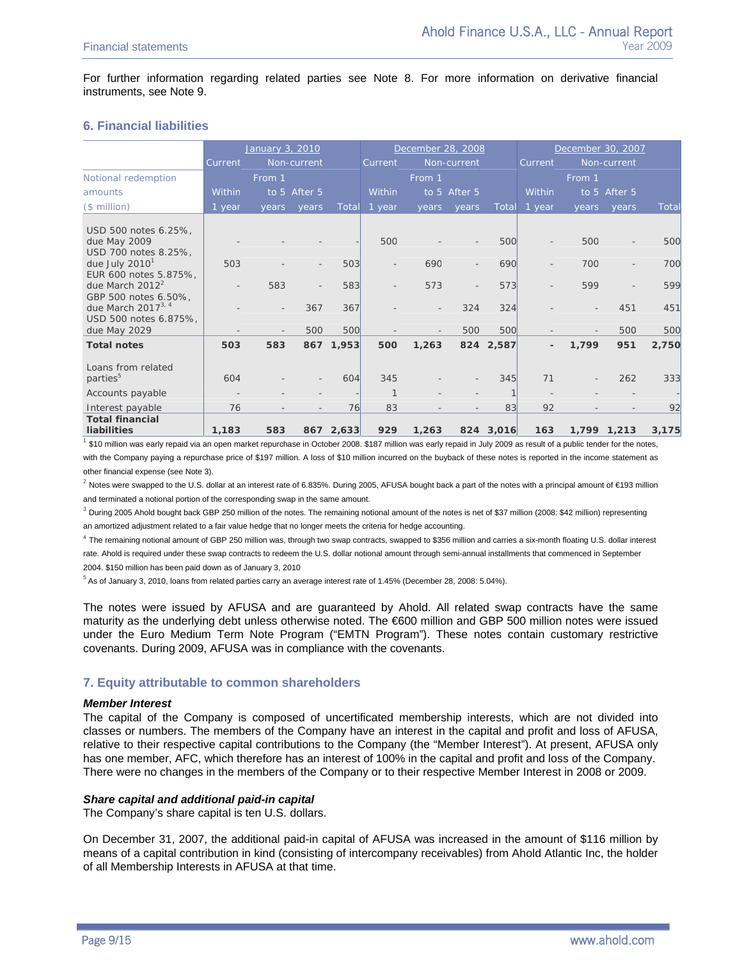For further information regarding related parties see Note 8. For more information on derivative financial instruments, see Note 9.

### **6. Financial liabilities**

|                                                                         |         | January 3, 2010   |                    |       | December 28, 2008 |                          |              |              | December 30, 2007        |                          |              |       |
|-------------------------------------------------------------------------|---------|-------------------|--------------------|-------|-------------------|--------------------------|--------------|--------------|--------------------------|--------------------------|--------------|-------|
|                                                                         | Current |                   | Non-current        |       | Current           |                          | Non-current  |              | Current                  |                          | Non-current  |       |
| Notional redemption                                                     |         | From 1            |                    |       |                   | From 1                   |              |              |                          | From 1                   |              |       |
| amounts                                                                 | Within  | $\overline{10}$ 5 | After <sub>5</sub> |       | Within            |                          | to 5 After 5 |              | Within                   |                          | to 5 After 5 |       |
| $($$ million $)$                                                        | 1 year  | years             | years              | Total | 1 year            | years                    | years        | <b>Total</b> | 1 year                   | years                    | years        | Total |
| USD 500 notes 6.25%,<br>due May 2009<br>USD 700 notes 8.25%,            |         |                   |                    |       | 500               |                          |              | 500          |                          | 500                      |              | 500   |
| due July $20101$<br>EUR 600 notes 5.875%,                               | 503     |                   |                    | 503   |                   | 690                      |              | 690          |                          | 700                      |              | 700   |
| due March $2012^2$                                                      |         | 583               |                    | 583   |                   | 573                      |              | 573          |                          | 599                      |              | 599   |
| GBP 500 notes 6.50%,<br>due March $2017^{3,4}$<br>USD 500 notes 6.875%, |         |                   | 367                | 367   |                   |                          | 324          | 324          |                          |                          | 451          | 451   |
| due May 2029                                                            |         |                   | <b>500</b>         | 500   |                   | $\overline{\phantom{a}}$ | 500          | 500          |                          | $\overline{\phantom{a}}$ | 500          | 500   |
| <b>Total notes</b>                                                      | 503     | 583               | 867                | 1,953 | 500               | 1,263                    | 824          | 2,587        | $\overline{\phantom{a}}$ | 1,799                    | 951          | 2,750 |
| Loans from related<br>parties <sup>5</sup>                              | 604     |                   |                    | 604   | 345               |                          |              | 345          | 71                       |                          | 262          | 333   |
| Accounts payable                                                        |         |                   |                    |       |                   |                          |              |              |                          |                          |              |       |
| Interest payable                                                        | 76      |                   |                    | 76    | 83                |                          |              | 83           | 92                       |                          |              | 92    |
| <b>Total financial</b><br>liabilities                                   | 1,183   | 583               | 867                | 2,633 | 929               | 1,263                    | 824          | 3,016        | 163                      |                          | 1,799 1,213  | 3,175 |

 $1$  \$10 million was early repaid via an open market repurchase in October 2008. \$187 million was early repaid in July 2009 as result of a public tender for the notes, with the Company paying a repurchase price of \$197 million. A loss of \$10 million incurred on the buyback of these notes is reported in the income statement as other financial expense (see Note 3).

 $^2$  Notes were swapped to the U.S. dollar at an interest rate of 6.835%. During 2005, AFUSA bought back a part of the notes with a principal amount of €193 million and terminated a notional portion of the corresponding swap in the same amount.

 $^3$  During 2005 Ahold bought back GBP 250 million of the notes. The remaining notional amount of the notes is net of \$37 million (2008: \$42 million) representing an amortized adjustment related to a fair value hedge that no longer meets the criteria for hedge accounting.

4 The remaining notional amount of GBP 250 million was, through two swap contracts, swapped to \$356 million and carries a six-month floating U.S. dollar interest rate. Ahold is required under these swap contracts to redeem the U.S. dollar notional amount through semi-annual installments that commenced in September 2004. \$150 million has been paid down as of January 3, 2010

 $^5$  As of January 3, 2010, loans from related parties carry an average interest rate of 1.45% (December 28, 2008: 5.04%).

The notes were issued by AFUSA and are guaranteed by Ahold. All related swap contracts have the same maturity as the underlying debt unless otherwise noted. The €600 million and GBP 500 million notes were issued under the Euro Medium Term Note Program ("EMTN Program"). These notes contain customary restrictive covenants. During 2009, AFUSA was in compliance with the covenants.

#### **7. Equity attributable to common shareholders**

#### *Member Interest*

The capital of the Company is composed of uncertificated membership interests, which are not divided into classes or numbers. The members of the Company have an interest in the capital and profit and loss of AFUSA, relative to their respective capital contributions to the Company (the "Member Interest"). At present, AFUSA only has one member, AFC, which therefore has an interest of 100% in the capital and profit and loss of the Company. There were no changes in the members of the Company or to their respective Member Interest in 2008 or 2009.

#### *Share capital and additional paid-in capital*

The Company's share capital is ten U.S. dollars.

On December 31, 2007, the additional paid-in capital of AFUSA was increased in the amount of \$116 million by means of a capital contribution in kind (consisting of intercompany receivables) from Ahold Atlantic Inc, the holder of all Membership Interests in AFUSA at that time.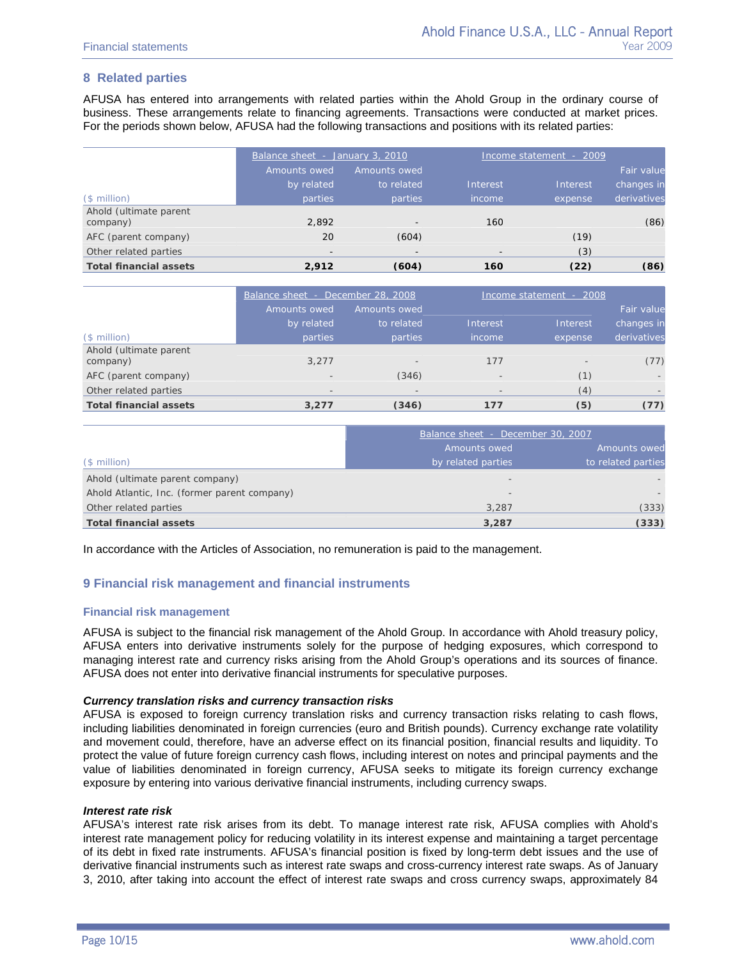### **8 Related parties**

AFUSA has entered into arrangements with related parties within the Ahold Group in the ordinary course of business. These arrangements relate to financing agreements. Transactions were conducted at market prices. For the periods shown below, AFUSA had the following transactions and positions with its related parties:

|                                    | Balance sheet - January 3, 2010 |                          |                          | Income statement - 2009 |             |
|------------------------------------|---------------------------------|--------------------------|--------------------------|-------------------------|-------------|
|                                    | Amounts owed                    | Amounts owed             |                          |                         | Fair value  |
|                                    | by related                      | to related               | Interest                 | Interest                | changes in  |
| $$$ million)                       | parties                         | <i>parties</i>           | income                   | expense                 | derivatives |
| Ahold (ultimate parent<br>company) | 2,892                           |                          | 160                      |                         | (86)        |
| AFC (parent company)               | 20                              | (604)                    |                          | (19)                    |             |
| Other related parties              | $\overline{\phantom{a}}$        | $\overline{\phantom{a}}$ | $\overline{\phantom{a}}$ | (3)                     |             |
| <b>Total financial assets</b>      | 2,912                           | (604)                    | 160                      | (22)                    | (86)        |

|                                    | Balance sheet - December 28, 2008 |                          | Income statement - 2008 |          |             |
|------------------------------------|-----------------------------------|--------------------------|-------------------------|----------|-------------|
|                                    | Amounts owed                      | Amounts owed             |                         |          | Fair value  |
|                                    | by related                        | to related               | Interest                | Interest | changes in  |
| $($$ million $)$                   | parties                           | parties                  | <i>income</i>           | expense  | derivatives |
| Ahold (ultimate parent<br>company) | 3.277                             |                          | 177                     |          | (77)        |
| AFC (parent company)               |                                   | (346)                    |                         | (1)      |             |
| Other related parties              |                                   | $\overline{\phantom{a}}$ |                         | (4)      |             |
| <b>Total financial assets</b>      | 3,277                             | (346)                    | 177                     | (5)      | (77)        |

|                                              | Balance sheet - December 30, 2007 |                    |  |
|----------------------------------------------|-----------------------------------|--------------------|--|
|                                              | Amounts owed                      | Amounts owed       |  |
| $($$ million $)$                             | by related parties                | to related parties |  |
| Ahold (ultimate parent company)              |                                   |                    |  |
| Ahold Atlantic, Inc. (former parent company) |                                   |                    |  |
| Other related parties                        | 3,287                             | (333)              |  |
| <b>Total financial assets</b>                | 3,287                             | (333)              |  |

In accordance with the Articles of Association, no remuneration is paid to the management.

### **9 Financial risk management and financial instruments**

#### **Financial risk management**

AFUSA is subject to the financial risk management of the Ahold Group. In accordance with Ahold treasury policy, AFUSA enters into derivative instruments solely for the purpose of hedging exposures, which correspond to managing interest rate and currency risks arising from the Ahold Group's operations and its sources of finance. AFUSA does not enter into derivative financial instruments for speculative purposes.

#### *Currency translation risks and currency transaction risks*

AFUSA is exposed to foreign currency translation risks and currency transaction risks relating to cash flows, including liabilities denominated in foreign currencies (euro and British pounds). Currency exchange rate volatility and movement could, therefore, have an adverse effect on its financial position, financial results and liquidity. To protect the value of future foreign currency cash flows, including interest on notes and principal payments and the value of liabilities denominated in foreign currency, AFUSA seeks to mitigate its foreign currency exchange exposure by entering into various derivative financial instruments, including currency swaps.

#### *Interest rate risk*

AFUSA's interest rate risk arises from its debt. To manage interest rate risk, AFUSA complies with Ahold's interest rate management policy for reducing volatility in its interest expense and maintaining a target percentage of its debt in fixed rate instruments. AFUSA's financial position is fixed by long-term debt issues and the use of derivative financial instruments such as interest rate swaps and cross-currency interest rate swaps. As of January 3, 2010, after taking into account the effect of interest rate swaps and cross currency swaps, approximately 84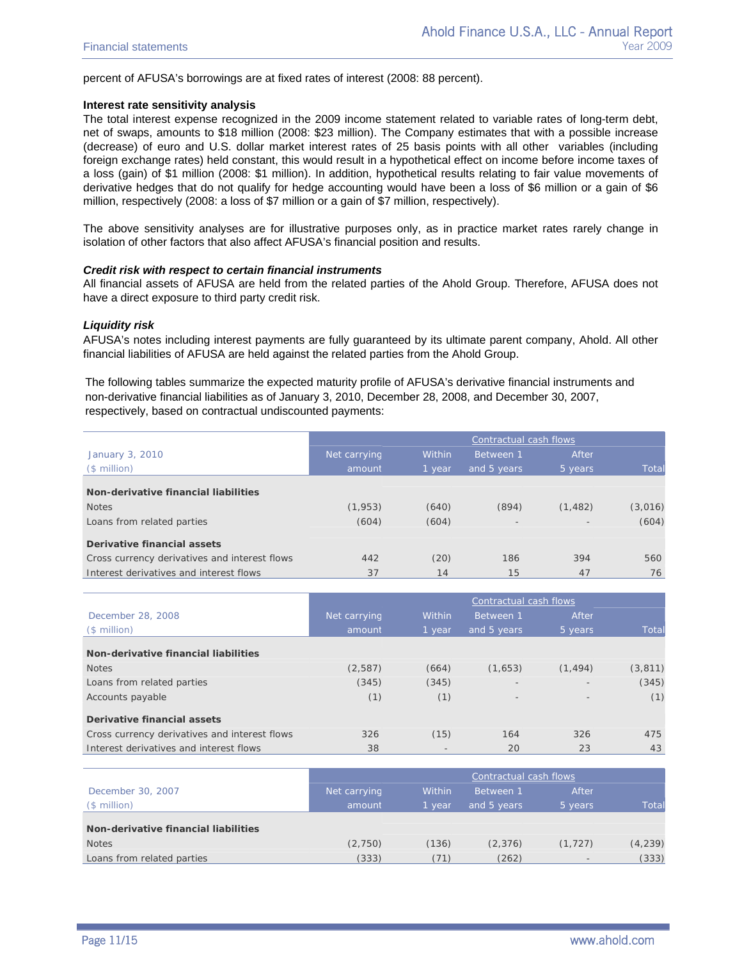percent of AFUSA's borrowings are at fixed rates of interest (2008: 88 percent).

#### **Interest rate sensitivity analysis**

The total interest expense recognized in the 2009 income statement related to variable rates of long-term debt, net of swaps, amounts to \$18 million (2008: \$23 million). The Company estimates that with a possible increase (decrease) of euro and U.S. dollar market interest rates of 25 basis points with all other variables (including foreign exchange rates) held constant, this would result in a hypothetical effect on income before income taxes of a loss (gain) of \$1 million (2008: \$1 million). In addition, hypothetical results relating to fair value movements of derivative hedges that do not qualify for hedge accounting would have been a loss of \$6 million or a gain of \$6 million, respectively (2008: a loss of \$7 million or a gain of \$7 million, respectively).

The above sensitivity analyses are for illustrative purposes only, as in practice market rates rarely change in isolation of other factors that also affect AFUSA's financial position and results.

#### *Credit risk with respect to certain financial instruments*

All financial assets of AFUSA are held from the related parties of the Ahold Group. Therefore, AFUSA does not have a direct exposure to third party credit risk.

#### *Liquidity risk*

AFUSA's notes including interest payments are fully guaranteed by its ultimate parent company, Ahold. All other financial liabilities of AFUSA are held against the related parties from the Ahold Group.

The following tables summarize the expected maturity profile of AFUSA's derivative financial instruments and non-derivative financial liabilities as of January 3, 2010, December 28, 2008, and December 30, 2007, respectively, based on contractual undiscounted payments:

|                                               | Contractual cash flows |               |             |          |         |
|-----------------------------------------------|------------------------|---------------|-------------|----------|---------|
| January 3, 2010                               | Net carrying           | <b>Within</b> | Between 1   | After    |         |
| $$$ million)                                  | amount                 | 1 year        | and 5 years | 5 years  | Total   |
| Non-derivative financial liabilities          |                        |               |             |          |         |
| <b>Notes</b>                                  | (1, 953)               | (640)         | (894)       | (1, 482) | (3,016) |
| Loans from related parties                    | (604)                  | (604)         |             |          | (604)   |
| Derivative financial assets                   |                        |               |             |          |         |
| Cross currency derivatives and interest flows | 442                    | (20)          | 186         | 394      | 560     |
| Interest derivatives and interest flows       | 37                     | 14            | 15          | 47       | 76      |

|                                               |              |                                 | Contractual cash flows   |          |          |
|-----------------------------------------------|--------------|---------------------------------|--------------------------|----------|----------|
| December 28, 2008                             | Net carrying | Within                          | Between 1                | After    |          |
| $$$ million)                                  | amount       | 1 year                          | and 5 years              | 5 years  | Total    |
| Non-derivative financial liabilities          |              |                                 |                          |          |          |
| <b>Notes</b>                                  | (2,587)      | (664)                           | (1,653)                  | (1, 494) | (3, 811) |
| Loans from related parties                    | (345)        | (345)                           |                          |          | (345)    |
| Accounts payable                              | (1)          | (1)                             | $\overline{\phantom{a}}$ | $\sim$   | (1)      |
| Derivative financial assets                   |              |                                 |                          |          |          |
| Cross currency derivatives and interest flows | 326          | (15)                            | 164                      | 326      | 475      |
| Interest derivatives and interest flows       | 38           | $\hspace{0.1mm}-\hspace{0.1mm}$ | 20                       | 23       | 43       |

|                                      |              | Contractual cash flows |             |         |         |  |
|--------------------------------------|--------------|------------------------|-------------|---------|---------|--|
| December 30, 2007                    | Net carrying | Within                 | Between 1   | After   |         |  |
| $$$ million)                         | amount       | vear                   | and 5 years | 5 years | Total   |  |
| Non-derivative financial liabilities |              |                        |             |         |         |  |
| <b>Notes</b>                         | (2,750)      | (136)                  | (2, 376)    | (1.727) | (4,239) |  |
| Loans from related parties           | (333)        | (71)                   | (262)       | $\sim$  | (333)   |  |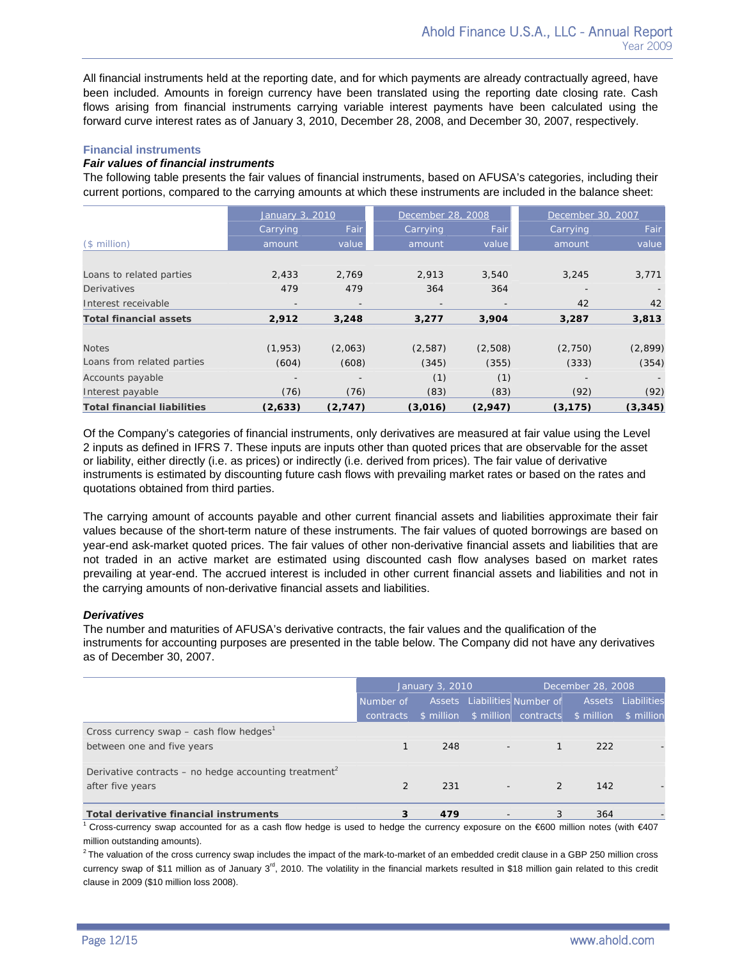All financial instruments held at the reporting date, and for which payments are already contractually agreed, have been included. Amounts in foreign currency have been translated using the reporting date closing rate. Cash flows arising from financial instruments carrying variable interest payments have been calculated using the forward curve interest rates as of January 3, 2010, December 28, 2008, and December 30, 2007, respectively.

#### **Financial instruments**

#### *Fair values of financial instruments*

The following table presents the fair values of financial instruments, based on AFUSA's categories, including their current portions, compared to the carrying amounts at which these instruments are included in the balance sheet:

|                                    | January 3, 2010          |                          | December 28, 2008        |                          |          | December 30, 2007 |
|------------------------------------|--------------------------|--------------------------|--------------------------|--------------------------|----------|-------------------|
|                                    | Carrying                 | Fair                     | Carrying                 | Fair                     | Carrying | Fair              |
| $($$ million $)$                   | amount                   | value                    | amount                   | value                    | amount   | value             |
|                                    |                          |                          |                          |                          |          |                   |
| Loans to related parties           | 2,433                    | 2,769                    | 2,913                    | 3,540                    | 3,245    | 3,771             |
| <b>Derivatives</b>                 | 479                      | 479                      | 364                      | 364                      |          |                   |
| Interest receivable                | $\overline{\phantom{a}}$ | $\overline{\phantom{a}}$ | $\overline{\phantom{a}}$ | $\overline{\phantom{a}}$ | 42       | 42                |
| <b>Total financial assets</b>      | 2,912                    | 3,248                    | 3,277                    | 3,904                    | 3,287    | 3,813             |
|                                    |                          |                          |                          |                          |          |                   |
| <b>Notes</b>                       | (1, 953)                 | (2,063)                  | (2,587)                  | (2,508)                  | (2,750)  | (2,899)           |
| Loans from related parties         | (604)                    | (608)                    | (345)                    | (355)                    | (333)    | (354)             |
| Accounts payable                   | $\overline{\phantom{a}}$ |                          | (1)                      | (1)                      |          |                   |
| Interest payable                   | (76)                     | (76)                     | (83)                     | (83)                     | (92)     | (92)              |
| <b>Total financial liabilities</b> | (2,633)                  | (2,747)                  | (3,016)                  | (2,947)                  | (3, 175) | (3, 345)          |

Of the Company's categories of financial instruments, only derivatives are measured at fair value using the Level 2 inputs as defined in IFRS 7. These inputs are inputs other than quoted prices that are observable for the asset or liability, either directly (i.e. as prices) or indirectly (i.e. derived from prices). The fair value of derivative instruments is estimated by discounting future cash flows with prevailing market rates or based on the rates and quotations obtained from third parties.

The carrying amount of accounts payable and other current financial assets and liabilities approximate their fair values because of the short-term nature of these instruments. The fair values of quoted borrowings are based on year-end ask-market quoted prices. The fair values of other non-derivative financial assets and liabilities that are not traded in an active market are estimated using discounted cash flow analyses based on market rates prevailing at year-end. The accrued interest is included in other current financial assets and liabilities and not in the carrying amounts of non-derivative financial assets and liabilities.

#### *Derivatives*

The number and maturities of AFUSA's derivative contracts, the fair values and the qualification of the instruments for accounting purposes are presented in the table below. The Company did not have any derivatives as of December 30, 2007.

|                                                                   | January 3, 2010 |     |                             | December 28, 2008                          |     |                    |
|-------------------------------------------------------------------|-----------------|-----|-----------------------------|--------------------------------------------|-----|--------------------|
|                                                                   | Number of       |     |                             | Assets Liabilities Number of               |     | Assets Liabilities |
|                                                                   | contracts       |     |                             | \$ million \$ million contracts \$ million |     | \$ million         |
| Cross currency swap – cash flow hedges <sup>1</sup>               |                 |     |                             |                                            |     |                    |
| between one and five years                                        |                 | 248 | $\mathcal{L}_{\mathcal{A}}$ |                                            | 222 |                    |
| Derivative contracts – no hedge accounting treatment <sup>2</sup> |                 |     |                             |                                            |     |                    |
| after five years                                                  | 2               | 231 |                             | 2                                          | 142 |                    |
| Total derivative financial instruments                            |                 | 479 |                             |                                            | 364 |                    |

1 Cross-currency swap accounted for as a cash flow hedge is used to hedge the currency exposure on the  $€00$  million notes (with  $€407$ million outstanding amounts).

 $2$  The valuation of the cross currency swap includes the impact of the mark-to-market of an embedded credit clause in a GBP 250 million cross currency swap of \$11 million as of January  $3<sup>rd</sup>$ , 2010. The volatility in the financial markets resulted in \$18 million gain related to this credit clause in 2009 (\$10 million loss 2008).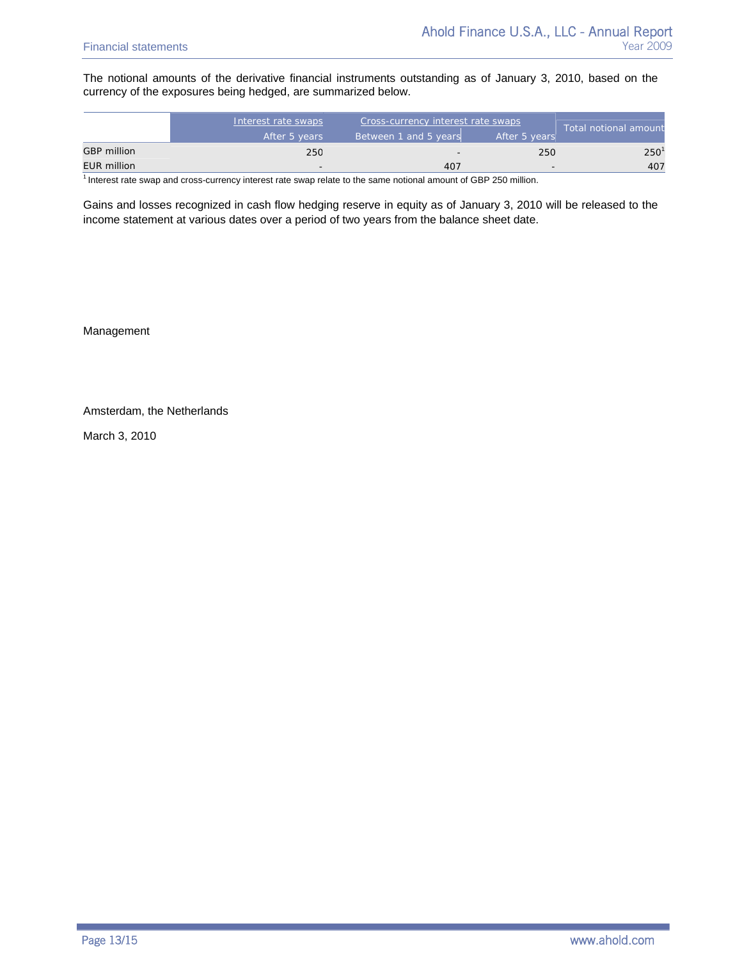The notional amounts of the derivative financial instruments outstanding as of January 3, 2010, based on the currency of the exposures being hedged, are summarized below.

|                    | Interest rate swaps      | Cross-currency interest rate swaps. | Total notional amount |               |
|--------------------|--------------------------|-------------------------------------|-----------------------|---------------|
|                    | After 5 years            | Between 1 and 5 years               | After 5 years         |               |
| GBP million        | 250                      |                                     | 250                   | $250^{\circ}$ |
| <b>EUR million</b> | $\overline{\phantom{a}}$ | 407                                 | $\sim$                | 407           |

1 Interest rate swap and cross-currency interest rate swap relate to the same notional amount of GBP 250 million.

Gains and losses recognized in cash flow hedging reserve in equity as of January 3, 2010 will be released to the income statement at various dates over a period of two years from the balance sheet date.

Management

Amsterdam, the Netherlands

March 3, 2010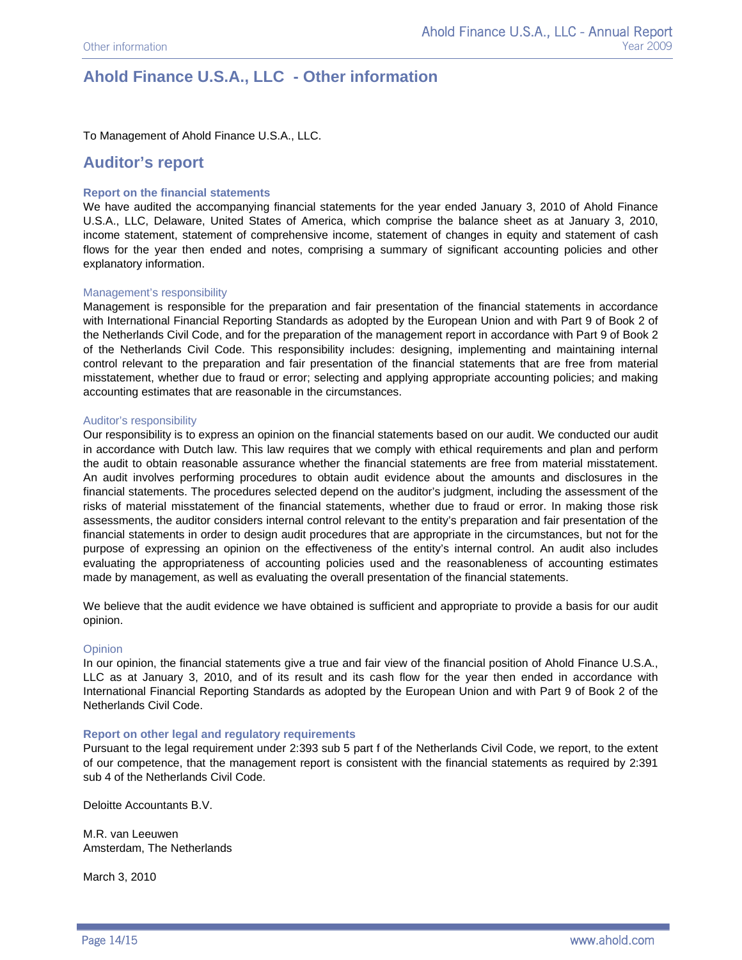## **Ahold Finance U.S.A., LLC - Other information**

To Management of Ahold Finance U.S.A., LLC.

## **Auditor's report**

#### **Report on the financial statements**

We have audited the accompanying financial statements for the year ended January 3, 2010 of Ahold Finance U.S.A., LLC, Delaware, United States of America, which comprise the balance sheet as at January 3, 2010, income statement, statement of comprehensive income, statement of changes in equity and statement of cash flows for the year then ended and notes, comprising a summary of significant accounting policies and other explanatory information.

#### Management's responsibility

Management is responsible for the preparation and fair presentation of the financial statements in accordance with International Financial Reporting Standards as adopted by the European Union and with Part 9 of Book 2 of the Netherlands Civil Code, and for the preparation of the management report in accordance with Part 9 of Book 2 of the Netherlands Civil Code. This responsibility includes: designing, implementing and maintaining internal control relevant to the preparation and fair presentation of the financial statements that are free from material misstatement, whether due to fraud or error; selecting and applying appropriate accounting policies; and making accounting estimates that are reasonable in the circumstances.

#### Auditor's responsibility

Our responsibility is to express an opinion on the financial statements based on our audit. We conducted our audit in accordance with Dutch law. This law requires that we comply with ethical requirements and plan and perform the audit to obtain reasonable assurance whether the financial statements are free from material misstatement. An audit involves performing procedures to obtain audit evidence about the amounts and disclosures in the financial statements. The procedures selected depend on the auditor's judgment, including the assessment of the risks of material misstatement of the financial statements, whether due to fraud or error. In making those risk assessments, the auditor considers internal control relevant to the entity's preparation and fair presentation of the financial statements in order to design audit procedures that are appropriate in the circumstances, but not for the purpose of expressing an opinion on the effectiveness of the entity's internal control. An audit also includes evaluating the appropriateness of accounting policies used and the reasonableness of accounting estimates made by management, as well as evaluating the overall presentation of the financial statements.

We believe that the audit evidence we have obtained is sufficient and appropriate to provide a basis for our audit opinion.

#### **Opinion**

In our opinion, the financial statements give a true and fair view of the financial position of Ahold Finance U.S.A., LLC as at January 3, 2010, and of its result and its cash flow for the year then ended in accordance with International Financial Reporting Standards as adopted by the European Union and with Part 9 of Book 2 of the Netherlands Civil Code.

#### **Report on other legal and regulatory requirements**

Pursuant to the legal requirement under 2:393 sub 5 part f of the Netherlands Civil Code, we report, to the extent of our competence, that the management report is consistent with the financial statements as required by 2:391 sub 4 of the Netherlands Civil Code.

Deloitte Accountants B.V.

M.R. van Leeuwen Amsterdam, The Netherlands

March 3, 2010